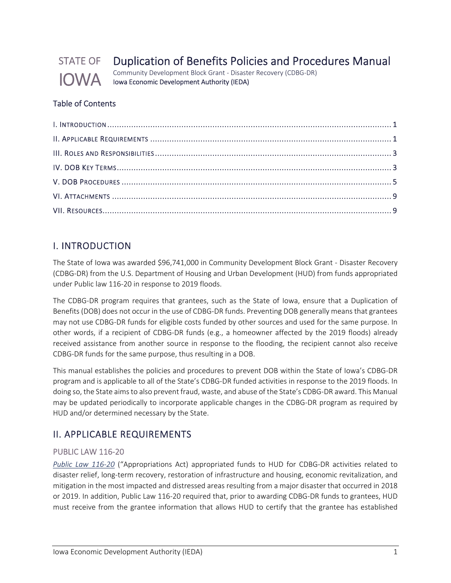

# Duplication of Benefits Policies and Procedures Manual

Community Development Block Grant ‐ Disaster Recovery (CDBG‐DR) Iowa Economic Development Authority (IEDA)

## Table of Contents

## I. INTRODUCTION

The State of Iowa was awarded \$96,741,000 in Community Development Block Grant ‐ Disaster Recovery (CDBG‐DR) from the U.S. Department of Housing and Urban Development (HUD) from funds appropriated under Public law 116‐20 in response to 2019 floods.

The CDBG‐DR program requires that grantees, such as the State of Iowa, ensure that a Duplication of Benefits (DOB) does not occur in the use of CDBG‐DR funds. Preventing DOB generally means that grantees may not use CDBG‐DR funds for eligible costs funded by other sources and used for the same purpose. In other words, if a recipient of CDBG‐DR funds (e.g., a homeowner affected by the 2019 floods) already received assistance from another source in response to the flooding, the recipient cannot also receive CDBG‐DR funds for the same purpose, thus resulting in a DOB.

This manual establishes the policies and procedures to prevent DOB within the State of Iowa's CDBG‐DR program and is applicable to all of the State's CDBG‐DR funded activities in response to the 2019 floods. In doing so, the State aims to also prevent fraud, waste, and abuse of the State's CDBG-DR award. This Manual may be updated periodically to incorporate applicable changes in the CDBG‐DR program as required by HUD and/or determined necessary by the State.

## II. APPLICABLE REQUIREMENTS

## PUBLIC LAW 116‐20

*Public Law 116‐20* ("Appropriations Act) appropriated funds to HUD for CDBG‐DR activities related to disaster relief, long‐term recovery, restoration of infrastructure and housing, economic revitalization, and mitigation in the most impacted and distressed areas resulting from a major disaster that occurred in 2018 or 2019. In addition, Public Law 116‐20 required that, prior to awarding CDBG‐DR funds to grantees, HUD must receive from the grantee information that allows HUD to certify that the grantee has established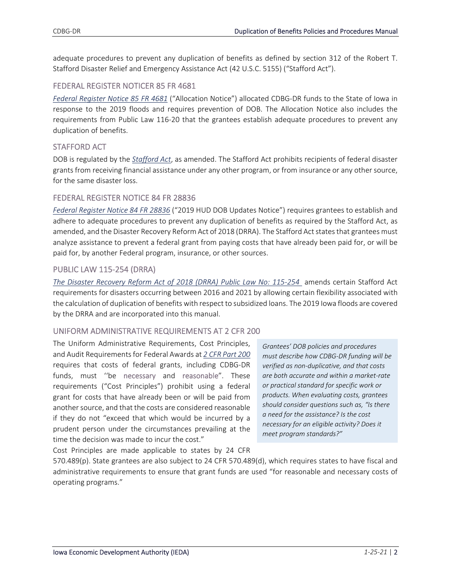adequate procedures to prevent any duplication of benefits as defined by section 312 of the Robert T. Stafford Disaster Relief and Emergency Assistance Act (42 U.S.C. 5155) ("Stafford Act").

#### FEDERAL REGISTER NOTICER 85 FR 4681

*Federal Register Notice 85 FR 4681* ("Allocation Notice") allocated CDBG‐DR funds to the State of Iowa in response to the 2019 floods and requires prevention of DOB. The Allocation Notice also includes the requirements from Public Law 116‐20 that the grantees establish adequate procedures to prevent any duplication of benefits.

#### STAFFORD ACT

DOB is regulated by the *Stafford Act*, as amended. The Stafford Act prohibits recipients of federal disaster grants from receiving financial assistance under any other program, or from insurance or any other source, for the same disaster loss.

#### FEDERAL REGISTER NOTICE 84 FR 28836

*Federal Register Notice 84 FR 28836* ("2019 HUD DOB Updates Notice") requires grantees to establish and adhere to adequate procedures to prevent any duplication of benefits as required by the Stafford Act, as amended, and the Disaster Recovery Reform Act of 2018 (DRRA). The Stafford Act states that grantees must analyze assistance to prevent a federal grant from paying costs that have already been paid for, or will be paid for, by another Federal program, insurance, or other sources.

## PUBLIC LAW 115‐254 (DRRA)

*The Disaster Recovery Reform Act of 2018 (DRRA) Public Law No: 115‐254* amends certain Stafford Act requirements for disasters occurring between 2016 and 2021 by allowing certain flexibility associated with the calculation of duplication of benefits with respect to subsidized loans. The 2019 Iowa floods are covered by the DRRA and are incorporated into this manual.

#### UNIFORM ADMINISTRATIVE REQUIREMENTS AT 2 CFR 200

The Uniform Administrative Requirements, Cost Principles, and Audit Requirementsfor Federal Awards at *2 CFR Part 200* requires that costs of federal grants, including CDBG‐DR funds, must ''be necessary and reasonable". These requirements ("Cost Principles") prohibit using a federal grant for costs that have already been or will be paid from another source, and that the costs are considered reasonable if they do not "exceed that which would be incurred by a prudent person under the circumstances prevailing at the time the decision was made to incur the cost."

*Grantees' DOB policies and procedures must describe how CDBG‐DR funding will be verified as non‐duplicative, and that costs are both accurate and within a market‐rate or practical standard for specific work or products. When evaluating costs, grantees should consider questions such as, "Is there a need for the assistance? Is the cost necessary for an eligible activity? Does it meet program standards?"* 

Cost Principles are made applicable to states by 24 CFR

570.489(p). State grantees are also subject to 24 CFR 570.489(d), which requires states to have fiscal and administrative requirements to ensure that grant funds are used "for reasonable and necessary costs of operating programs."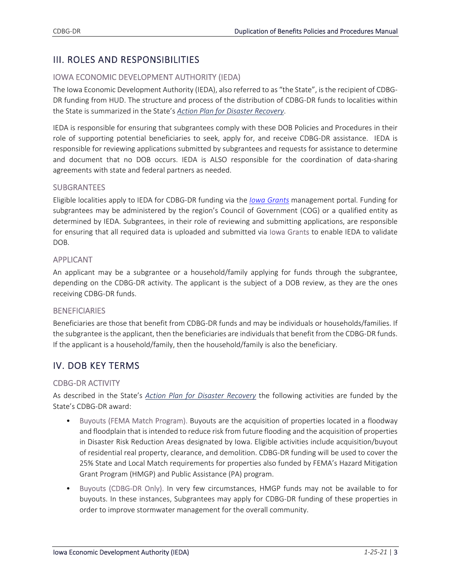## III. ROLES AND RESPONSIBILITIES

## IOWA ECONOMIC DEVELOPMENT AUTHORITY (IEDA)

The Iowa Economic Development Authority (IEDA), also referred to as "the State", is the recipient of CDBG‐ DR funding from HUD. The structure and process of the distribution of CDBG‐DR funds to localities within the State is summarized in the State's *Action Plan for Disaster Recovery*.

IEDA is responsible for ensuring that subgrantees comply with these DOB Policies and Procedures in their role of supporting potential beneficiaries to seek, apply for, and receive CDBG‐DR assistance. IEDA is responsible for reviewing applications submitted by subgrantees and requests for assistance to determine and document that no DOB occurs. IEDA is ALSO responsible for the coordination of data‐sharing agreements with state and federal partners as needed.

#### **SUBGRANTEES**

Eligible localities apply to IEDA for CDBG‐DR funding via the *Iowa Grants* management portal. Funding for subgrantees may be administered by the region's Council of Government (COG) or a qualified entity as determined by IEDA. Subgrantees, in their role of reviewing and submitting applications, are responsible for ensuring that all required data is uploaded and submitted via Iowa Grants to enable IEDA to validate DOB.

#### APPLICANT

An applicant may be a subgrantee or a household/family applying for funds through the subgrantee, depending on the CDBG‐DR activity. The applicant is the subject of a DOB review, as they are the ones receiving CDBG‐DR funds.

#### **BENEFICIARIES**

Beneficiaries are those that benefit from CDBG‐DR funds and may be individuals or households/families. If the subgrantee isthe applicant, then the beneficiaries are individualsthat benefit from the CDBG‐DR funds. If the applicant is a household/family, then the household/family is also the beneficiary.

## IV. DOB KEY TERMS

## CDBG‐DR ACTIVITY

As described in the State's *Action Plan for Disaster Recovery* the following activities are funded by the State's CDBG‐DR award:

- Buyouts (FEMA Match Program). Buyouts are the acquisition of properties located in a floodway and floodplain that isintended to reduce risk from future flooding and the acquisition of properties in Disaster Risk Reduction Areas designated by Iowa. Eligible activities include acquisition/buyout of residential real property, clearance, and demolition. CDBG‐DR funding will be used to cover the 25% State and Local Match requirements for properties also funded by FEMA's Hazard Mitigation Grant Program (HMGP) and Public Assistance (PA) program.
- Buyouts (CDBG‐DR Only). In very few circumstances, HMGP funds may not be available to for buyouts. In these instances, Subgrantees may apply for CDBG‐DR funding of these properties in order to improve stormwater management for the overall community.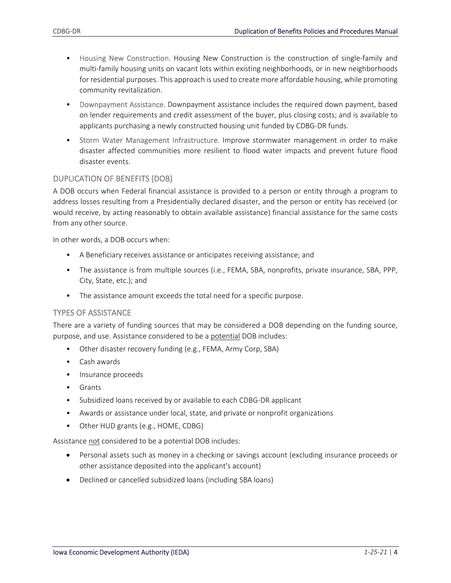- Housing New Construction. Housing New Construction is the construction of single-family and multi-family housing units on vacant lots within existing neighborhoods, or in new neighborhoods for residential purposes. This approach is used to create more affordable housing, while promoting community revitalization.
- Downpayment Assistance. Downpayment assistance includes the required down payment, based on lender requirements and credit assessment of the buyer, plus closing costs; and is available to applicants purchasing a newly constructed housing unit funded by CDBG‐DR funds.
- Storm Water Management Infrastructure. Improve stormwater management in order to make disaster affected communities more resilient to flood water impacts and prevent future flood disaster events.

#### DUPLICATION OF BENEFITS (DOB)

A DOB occurs when Federal financial assistance is provided to a person or entity through a program to address losses resulting from a Presidentially declared disaster, and the person or entity has received (or would receive, by acting reasonably to obtain available assistance) financial assistance for the same costs from any other source.

In other words, a DOB occurs when:

- A Beneficiary receives assistance or anticipates receiving assistance; and
- The assistance is from multiple sources (i.e., FEMA, SBA, nonprofits, private insurance, SBA, PPP, City, State, etc.); and
- The assistance amount exceeds the total need for a specific purpose.

#### TYPES OF ASSISTANCE

There are a variety of funding sources that may be considered a DOB depending on the funding source, purpose, and use. Assistance considered to be a potential DOB includes:

- Other disaster recovery funding (e.g., FEMA, Army Corp, SBA)
- Cash awards
- Insurance proceeds
- Grants
- Subsidized loans received by or available to each CDBG‐DR applicant
- Awards or assistance under local, state, and private or nonprofit organizations
- Other HUD grants (e.g., HOME, CDBG)

Assistance not considered to be a potential DOB includes:

- Personal assets such as money in a checking or savings account (excluding insurance proceeds or other assistance deposited into the applicant's account)
- Declined or cancelled subsidized loans (including SBA loans)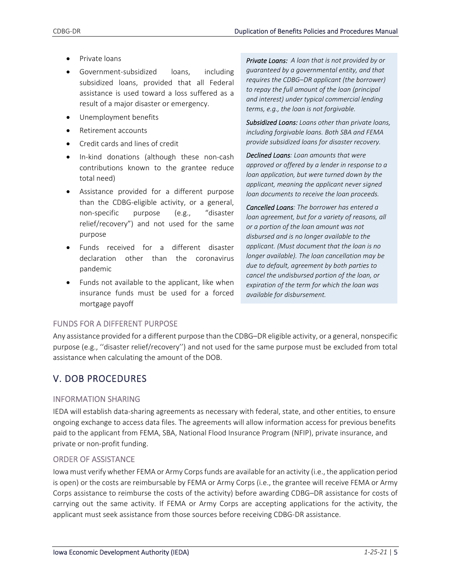- Private loans
- Government‐subsidized loans, including subsidized loans, provided that all Federal assistance is used toward a loss suffered as a result of a major disaster or emergency.
- Unemployment benefits
- Retirement accounts
- Credit cards and lines of credit
- In-kind donations (although these non-cash contributions known to the grantee reduce total need)
- Assistance provided for a different purpose than the CDBG‐eligible activity, or a general, non‐specific purpose (e.g., "disaster relief/recovery") and not used for the same purpose
- Funds received for a different disaster declaration other than the coronavirus pandemic
- Funds not available to the applicant, like when insurance funds must be used for a forced mortgage payoff

*Private Loans: A loan that is not provided by or guaranteed by a governmental entity, and that requires the CDBG–DR applicant (the borrower) to repay the full amount of the loan (principal and interest) under typical commercial lending terms, e.g., the loan is not forgivable.* 

*Subsidized Loans: Loans other than private loans, including forgivable loans. Both SBA and FEMA provide subsidized loans for disaster recovery.*

*Declined Loans: Loan amounts that were approved or offered by a lender in response to a loan application, but were turned down by the applicant, meaning the applicant never signed loan documents to receive the loan proceeds.* 

*Cancelled Loans: The borrower has entered a loan agreement, but for a variety of reasons, all or a portion of the loan amount was not disbursed and is no longer available to the applicant. (Must document that the loan is no longer available). The loan cancellation may be due to default, agreement by both parties to cancel the undisbursed portion of the loan, or expiration of the term for which the loan was available for disbursement.*

## FUNDS FOR A DIFFERENT PURPOSE

Any assistance provided for a different purpose than the CDBG–DR eligible activity, or a general, nonspecific purpose (e.g., ''disaster relief/recovery'') and not used for the same purpose must be excluded from total assistance when calculating the amount of the DOB.

## V. DOB PROCEDURES

## INFORMATION SHARING

IEDA will establish data‐sharing agreements as necessary with federal, state, and other entities, to ensure ongoing exchange to access data files. The agreements will allow information access for previous benefits paid to the applicant from FEMA, SBA, National Flood Insurance Program (NFIP), private insurance, and private or non‐profit funding.

## ORDER OF ASSISTANCE

Iowa must verify whether FEMA or Army Corpsfunds are available for an activity (i.e., the application period is open) or the costs are reimbursable by FEMA or Army Corps (i.e., the grantee will receive FEMA or Army Corps assistance to reimburse the costs of the activity) before awarding CDBG–DR assistance for costs of carrying out the same activity. If FEMA or Army Corps are accepting applications for the activity, the applicant must seek assistance from those sources before receiving CDBG‐DR assistance.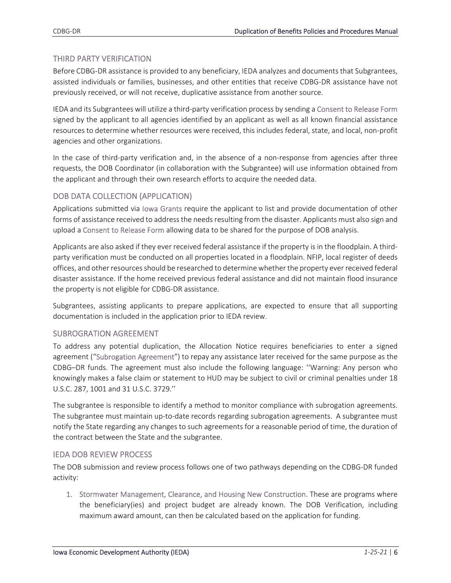### THIRD PARTY VERIFICATION

Before CDBG‐DR assistance is provided to any beneficiary, IEDA analyzes and documents that Subgrantees, assisted individuals or families, businesses, and other entities that receive CDBG‐DR assistance have not previously received, or will not receive, duplicative assistance from another source.

IEDA and its Subgrantees will utilize a third‐party verification process by sending a Consent to Release Form signed by the applicant to all agencies identified by an applicant as well as all known financial assistance resources to determine whether resources were received, this includes federal, state, and local, non‐profit agencies and other organizations.

In the case of third-party verification and, in the absence of a non-response from agencies after three requests, the DOB Coordinator (in collaboration with the Subgrantee) will use information obtained from the applicant and through their own research efforts to acquire the needed data.

## DOB DATA COLLECTION (APPLICATION)

Applications submitted via Iowa Grants require the applicant to list and provide documentation of other forms of assistance received to address the needs resulting from the disaster. Applicants must also sign and upload a Consent to Release Form allowing data to be shared for the purpose of DOB analysis.

Applicants are also asked if they ever received federal assistance if the property is in the floodplain. A third‐ party verification must be conducted on all properties located in a floodplain. NFIP, local register of deeds offices, and other resources should be researched to determine whether the property ever received federal disaster assistance. If the home received previous federal assistance and did not maintain flood insurance the property is not eligible for CDBG‐DR assistance.

Subgrantees, assisting applicants to prepare applications, are expected to ensure that all supporting documentation is included in the application prior to IEDA review.

#### SUBROGRATION AGREEMENT

To address any potential duplication, the Allocation Notice requires beneficiaries to enter a signed agreement ("Subrogation Agreement") to repay any assistance later received for the same purpose as the CDBG–DR funds. The agreement must also include the following language: ''Warning: Any person who knowingly makes a false claim or statement to HUD may be subject to civil or criminal penalties under 18 U.S.C. 287, 1001 and 31 U.S.C. 3729.''

The subgrantee is responsible to identify a method to monitor compliance with subrogation agreements. The subgrantee must maintain up-to-date records regarding subrogation agreements. A subgrantee must notify the State regarding any changes to such agreements for a reasonable period of time, the duration of the contract between the State and the subgrantee.

#### IEDA DOB REVIEW PROCESS

The DOB submission and review process follows one of two pathways depending on the CDBG‐DR funded activity:

1. Stormwater Management, Clearance, and Housing New Construction. These are programs where the beneficiary(ies) and project budget are already known. The DOB Verification, including maximum award amount, can then be calculated based on the application for funding.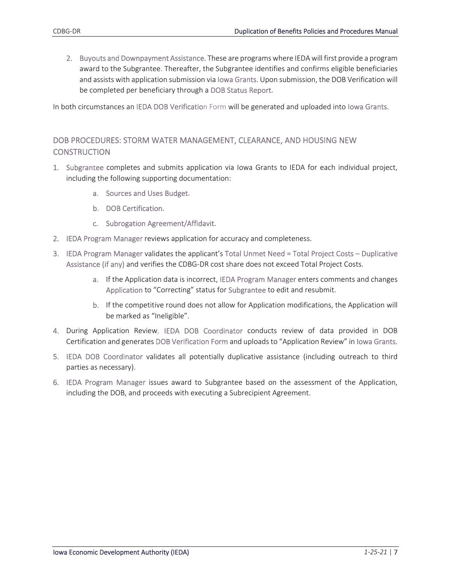2. Buyouts and Downpayment Assistance. These are programswhere IEDA will first provide a program award to the Subgrantee. Thereafter, the Subgrantee identifies and confirms eligible beneficiaries and assists with application submission via Iowa Grants. Upon submission, the DOB Verification will be completed per beneficiary through a DOB Status Report.

In both circumstances an IEDA DOB Verification Form will be generated and uploaded into Iowa Grants.

## DOB PROCEDURES: STORM WATER MANAGEMENT, CLEARANCE, AND HOUSING NEW **CONSTRUCTION**

- 1. Subgrantee completes and submits application via Iowa Grants to IEDA for each individual project, including the following supporting documentation:
	- a. Sources and Uses Budget.
	- b. DOB Certification.
	- c. Subrogation Agreement/Affidavit.
- 2. IEDA Program Manager reviews application for accuracy and completeness.
- 3. IEDA Program Manager validates the applicant's Total Unmet Need = Total Project Costs Duplicative Assistance (if any) and verifies the CDBG‐DR cost share does not exceed Total Project Costs.
	- a. If the Application data is incorrect, IEDA Program Manager enters comments and changes Application to "Correcting" status for Subgrantee to edit and resubmit.
	- b. If the competitive round does not allow for Application modifications, the Application will be marked as "Ineligible".
- 4. During Application Review, IEDA DOB Coordinator conducts review of data provided in DOB Certification and generates DOB Verification Form and uploads to "Application Review" in Iowa Grants.
- 5. IEDA DOB Coordinator validates all potentially duplicative assistance (including outreach to third parties as necessary).
- 6. IEDA Program Manager issues award to Subgrantee based on the assessment of the Application, including the DOB, and proceeds with executing a Subrecipient Agreement.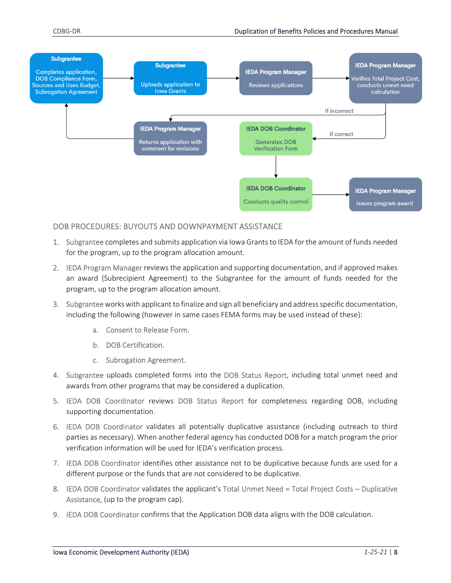

#### DOB PROCEDURES: BUYOUTS AND DOWNPAYMENT ASSISTANCE

- 1. Subgrantee completes and submits application via Iowa Grantsto IEDA for the amount of funds needed for the program, up to the program allocation amount.
- 2. IEDA Program Manager reviews the application and supporting documentation, and if approved makes an award (Subrecipient Agreement) to the Subgrantee for the amount of funds needed for the program, up to the program allocation amount.
- 3. Subgranteeworkswith applicant to finalize and sign all beneficiary and addressspecific documentation, including the following (however in same cases FEMA forms may be used instead of these):
	- a. Consent to Release Form.
	- b. DOB Certification.
	- c. Subrogation Agreement.
- 4. Subgrantee uploads completed forms into the DOB Status Report, including total unmet need and awards from other programs that may be considered a duplication.
- 5. IEDA DOB Coordinator reviews DOB Status Report for completeness regarding DOB, including supporting documentation.
- 6. IEDA DOB Coordinator validates all potentially duplicative assistance (including outreach to third parties as necessary). When another federal agency has conducted DOB for a match program the prior verification information will be used for IEDA's verification process.
- 7. IEDA DOB Coordinator identifies other assistance not to be duplicative because funds are used for a different purpose or the funds that are not considered to be duplicative.
- 8. IEDA DOB Coordinator validates the applicant's Total Unmet Need = Total Project Costs Duplicative Assistance, (up to the program cap).
- 9. IEDA DOB Coordinator confirms that the Application DOB data aligns with the DOB calculation.